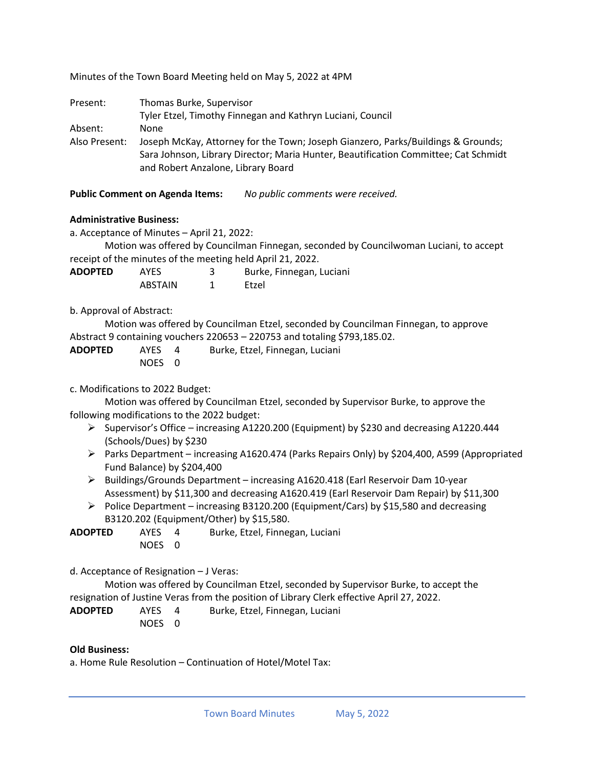Minutes of the Town Board Meeting held on May 5, 2022 at 4PM

| Present:      | Thomas Burke, Supervisor                                                                                                                                                                                      |  |  |  |
|---------------|---------------------------------------------------------------------------------------------------------------------------------------------------------------------------------------------------------------|--|--|--|
|               | Tyler Etzel, Timothy Finnegan and Kathryn Luciani, Council                                                                                                                                                    |  |  |  |
| Absent:       | <b>None</b>                                                                                                                                                                                                   |  |  |  |
| Also Present: | Joseph McKay, Attorney for the Town; Joseph Gianzero, Parks/Buildings & Grounds;<br>Sara Johnson, Library Director; Maria Hunter, Beautification Committee; Cat Schmidt<br>and Robert Anzalone, Library Board |  |  |  |

**Public Comment on Agenda Items:** *No public comments were received.*

### **Administrative Business:**

a. Acceptance of Minutes – April 21, 2022:

Motion was offered by Councilman Finnegan, seconded by Councilwoman Luciani, to accept receipt of the minutes of the meeting held April 21, 2022.

**ADOPTED** AYES 3 Burke, Finnegan, Luciani ABSTAIN 1 Etzel

### b. Approval of Abstract:

Motion was offered by Councilman Etzel, seconded by Councilman Finnegan, to approve Abstract 9 containing vouchers 220653 – 220753 and totaling \$793,185.02.

**ADOPTED** AYES 4 Burke, Etzel, Finnegan, Luciani NOES 0

### c. Modifications to 2022 Budget:

Motion was offered by Councilman Etzel, seconded by Supervisor Burke, to approve the following modifications to the 2022 budget:

- ➢ Supervisor's Office increasing A1220.200 (Equipment) by \$230 and decreasing A1220.444 (Schools/Dues) by \$230
- ➢ Parks Department increasing A1620.474 (Parks Repairs Only) by \$204,400, A599 (Appropriated Fund Balance) by \$204,400
- ➢ Buildings/Grounds Department increasing A1620.418 (Earl Reservoir Dam 10-year Assessment) by \$11,300 and decreasing A1620.419 (Earl Reservoir Dam Repair) by \$11,300
- $\triangleright$  Police Department increasing B3120.200 (Equipment/Cars) by \$15,580 and decreasing B3120.202 (Equipment/Other) by \$15,580.

**ADOPTED** AYES 4 Burke, Etzel, Finnegan, Luciani NOES 0

d. Acceptance of Resignation – J Veras:

Motion was offered by Councilman Etzel, seconded by Supervisor Burke, to accept the resignation of Justine Veras from the position of Library Clerk effective April 27, 2022.

**ADOPTED** AYES 4 Burke, Etzel, Finnegan, Luciani NOES 0

#### **Old Business:**

a. Home Rule Resolution – Continuation of Hotel/Motel Tax: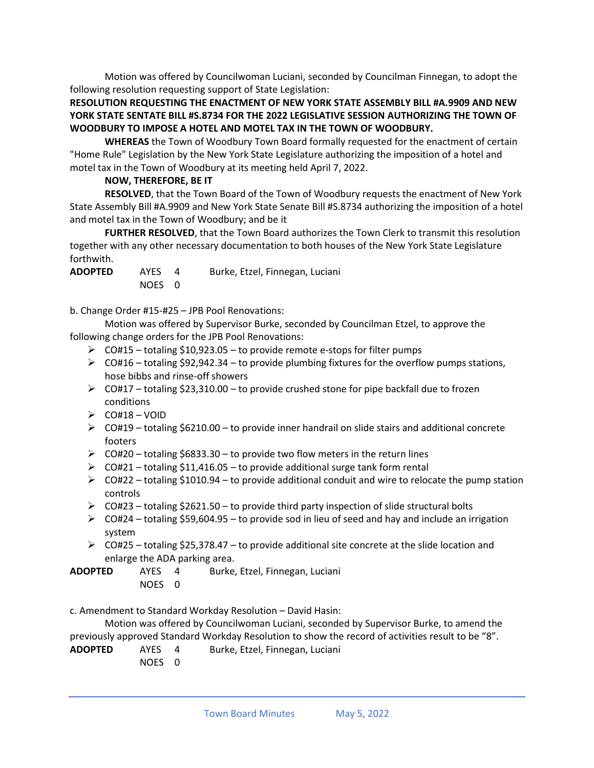Motion was offered by Councilwoman Luciani, seconded by Councilman Finnegan, to adopt the following resolution requesting support of State Legislation:

# **RESOLUTION REQUESTING THE ENACTMENT OF NEW YORK STATE ASSEMBLY BILL #A.9909 AND NEW YORK STATE SENTATE BILL #S.8734 FOR THE 2022 LEGISLATIVE SESSION AUTHORIZING THE TOWN OF WOODBURY TO IMPOSE A HOTEL AND MOTEL TAX IN THE TOWN OF WOODBURY.**

**WHEREAS** the Town of Woodbury Town Board formally requested for the enactment of certain "Home Rule" Legislation by the New York State Legislature authorizing the imposition of a hotel and motel tax in the Town of Woodbury at its meeting held April 7, 2022.

# **NOW, THEREFORE, BE IT**

**RESOLVED**, that the Town Board of the Town of Woodbury requests the enactment of New York State Assembly Bill #A.9909 and New York State Senate Bill #S.8734 authorizing the imposition of a hotel and motel tax in the Town of Woodbury; and be it

**FURTHER RESOLVED**, that the Town Board authorizes the Town Clerk to transmit this resolution together with any other necessary documentation to both houses of the New York State Legislature forthwith.

| <b>ADOPTED</b> | <b>AYES</b> | Burke, Etzel, Finnegan, Luciani |
|----------------|-------------|---------------------------------|
|                | NOES 0      |                                 |

b. Change Order #15-#25 – JPB Pool Renovations:

Motion was offered by Supervisor Burke, seconded by Councilman Etzel, to approve the following change orders for the JPB Pool Renovations:

- $\geq$  CO#15 totaling \$10,923.05 to provide remote e-stops for filter pumps
- $\triangleright$  CO#16 totaling \$92,942.34 to provide plumbing fixtures for the overflow pumps stations, hose bibbs and rinse-off showers
- $\triangleright$  CO#17 totaling \$23,310.00 to provide crushed stone for pipe backfall due to frozen conditions
- $\triangleright$  CO#18 VOID
- $\triangleright$  CO#19 totaling \$6210.00 to provide inner handrail on slide stairs and additional concrete footers
- $\triangleright$  CO#20 totaling \$6833.30 to provide two flow meters in the return lines
- ➢ CO#21 totaling \$11,416.05 to provide additional surge tank form rental
- ➢ CO#22 totaling \$1010.94 to provide additional conduit and wire to relocate the pump station controls
- ➢ CO#23 totaling \$2621.50 to provide third party inspection of slide structural bolts
- $\triangleright$  CO#24 totaling \$59,604.95 to provide sod in lieu of seed and hay and include an irrigation system
- $\triangleright$  CO#25 totaling \$25,378.47 to provide additional site concrete at the slide location and enlarge the ADA parking area.

**ADOPTED** AYES 4 Burke, Etzel, Finnegan, Luciani NOES 0

c. Amendment to Standard Workday Resolution – David Hasin:

Motion was offered by Councilwoman Luciani, seconded by Supervisor Burke, to amend the previously approved Standard Workday Resolution to show the record of activities result to be "8".

- **ADOPTED** AYES 4 Burke, Etzel, Finnegan, Luciani
	- NOES 0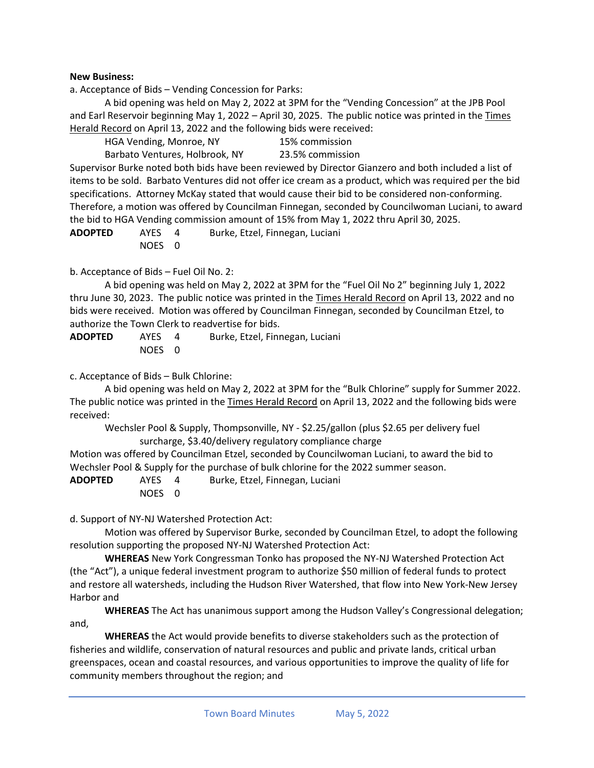### **New Business:**

a. Acceptance of Bids – Vending Concession for Parks:

A bid opening was held on May 2, 2022 at 3PM for the "Vending Concession" at the JPB Pool and Earl Reservoir beginning May 1, 2022 – April 30, 2025. The public notice was printed in the Times Herald Record on April 13, 2022 and the following bids were received:

HGA Vending, Monroe, NY 15% commission

Barbato Ventures, Holbrook, NY 23.5% commission Supervisor Burke noted both bids have been reviewed by Director Gianzero and both included a list of items to be sold. Barbato Ventures did not offer ice cream as a product, which was required per the bid specifications. Attorney McKay stated that would cause their bid to be considered non-conforming. Therefore, a motion was offered by Councilman Finnegan, seconded by Councilwoman Luciani, to award the bid to HGA Vending commission amount of 15% from May 1, 2022 thru April 30, 2025.

**ADOPTED** AYES 4 Burke, Etzel, Finnegan, Luciani NOES 0

### b. Acceptance of Bids – Fuel Oil No. 2:

A bid opening was held on May 2, 2022 at 3PM for the "Fuel Oil No 2" beginning July 1, 2022 thru June 30, 2023. The public notice was printed in the Times Herald Record on April 13, 2022 and no bids were received. Motion was offered by Councilman Finnegan, seconded by Councilman Etzel, to authorize the Town Clerk to readvertise for bids.

| <b>ADOPTED</b> | AYES   | Burke, Etzel, Finnegan, Luciani |
|----------------|--------|---------------------------------|
|                | NOES 0 |                                 |

### c. Acceptance of Bids – Bulk Chlorine:

A bid opening was held on May 2, 2022 at 3PM for the "Bulk Chlorine" supply for Summer 2022. The public notice was printed in the Times Herald Record on April 13, 2022 and the following bids were received:

Wechsler Pool & Supply, Thompsonville, NY - \$2.25/gallon (plus \$2.65 per delivery fuel surcharge, \$3.40/delivery regulatory compliance charge

Motion was offered by Councilman Etzel, seconded by Councilwoman Luciani, to award the bid to Wechsler Pool & Supply for the purchase of bulk chlorine for the 2022 summer season.

**ADOPTED** AYES 4 Burke, Etzel, Finnegan, Luciani NOES 0

d. Support of NY-NJ Watershed Protection Act:

Motion was offered by Supervisor Burke, seconded by Councilman Etzel, to adopt the following resolution supporting the proposed NY-NJ Watershed Protection Act:

**WHEREAS** New York Congressman Tonko has proposed the NY-NJ Watershed Protection Act (the "Act"), a unique federal investment program to authorize \$50 million of federal funds to protect and restore all watersheds, including the Hudson River Watershed, that flow into New York-New Jersey Harbor and

**WHEREAS** The Act has unanimous support among the Hudson Valley's Congressional delegation; and,

**WHEREAS** the Act would provide benefits to diverse stakeholders such as the protection of fisheries and wildlife, conservation of natural resources and public and private lands, critical urban greenspaces, ocean and coastal resources, and various opportunities to improve the quality of life for community members throughout the region; and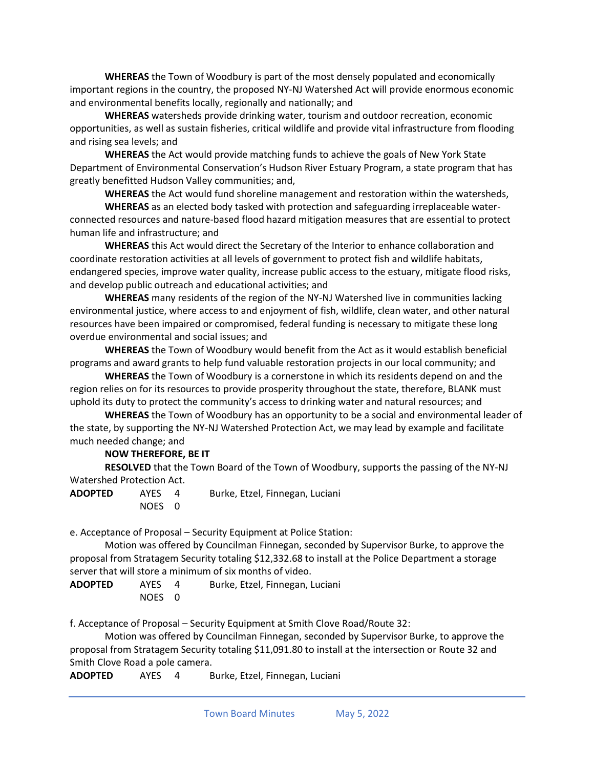**WHEREAS** the Town of Woodbury is part of the most densely populated and economically important regions in the country, the proposed NY-NJ Watershed Act will provide enormous economic and environmental benefits locally, regionally and nationally; and

**WHEREAS** watersheds provide drinking water, tourism and outdoor recreation, economic opportunities, as well as sustain fisheries, critical wildlife and provide vital infrastructure from flooding and rising sea levels; and

**WHEREAS** the Act would provide matching funds to achieve the goals of New York State Department of Environmental Conservation's Hudson River Estuary Program, a state program that has greatly benefitted Hudson Valley communities; and,

**WHEREAS** the Act would fund shoreline management and restoration within the watersheds,

**WHEREAS** as an elected body tasked with protection and safeguarding irreplaceable waterconnected resources and nature-based flood hazard mitigation measures that are essential to protect human life and infrastructure; and

**WHEREAS** this Act would direct the Secretary of the Interior to enhance collaboration and coordinate restoration activities at all levels of government to protect fish and wildlife habitats, endangered species, improve water quality, increase public access to the estuary, mitigate flood risks, and develop public outreach and educational activities; and

**WHEREAS** many residents of the region of the NY-NJ Watershed live in communities lacking environmental justice, where access to and enjoyment of fish, wildlife, clean water, and other natural resources have been impaired or compromised, federal funding is necessary to mitigate these long overdue environmental and social issues; and

**WHEREAS** the Town of Woodbury would benefit from the Act as it would establish beneficial programs and award grants to help fund valuable restoration projects in our local community; and

**WHEREAS** the Town of Woodbury is a cornerstone in which its residents depend on and the region relies on for its resources to provide prosperity throughout the state, therefore, BLANK must uphold its duty to protect the community's access to drinking water and natural resources; and

**WHEREAS** the Town of Woodbury has an opportunity to be a social and environmental leader of the state, by supporting the NY-NJ Watershed Protection Act, we may lead by example and facilitate much needed change; and

# **NOW THEREFORE, BE IT**

**RESOLVED** that the Town Board of the Town of Woodbury, supports the passing of the NY-NJ Watershed Protection Act.

| <b>ADOPTED</b> | AYES   | Burke, Etzel, Finnegan, Luciani |
|----------------|--------|---------------------------------|
|                | NOES 0 |                                 |

e. Acceptance of Proposal – Security Equipment at Police Station:

Motion was offered by Councilman Finnegan, seconded by Supervisor Burke, to approve the proposal from Stratagem Security totaling \$12,332.68 to install at the Police Department a storage server that will store a minimum of six months of video.

**ADOPTED** AYES 4 Burke, Etzel, Finnegan, Luciani NOES 0

f. Acceptance of Proposal – Security Equipment at Smith Clove Road/Route 32:

Motion was offered by Councilman Finnegan, seconded by Supervisor Burke, to approve the proposal from Stratagem Security totaling \$11,091.80 to install at the intersection or Route 32 and Smith Clove Road a pole camera.

**ADOPTED** AYES 4 Burke, Etzel, Finnegan, Luciani